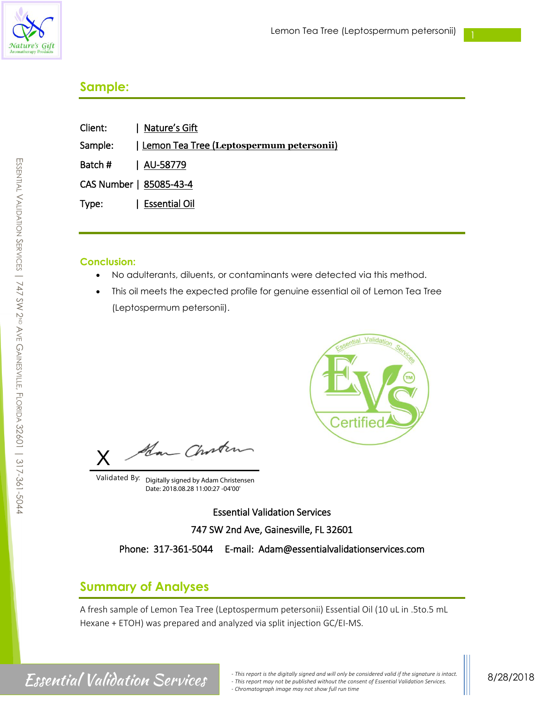

# **Sample:**

| Client: | Nature's Gift                                     |
|---------|---------------------------------------------------|
| Sample: | <u>  Lemon Tea Tree (Leptospermum petersonii)</u> |
| Batch # | AU-58779                                          |
|         | CAS Number   85085-43-4                           |
| Type:   | <b>Essential Oil</b>                              |

### **Conclusion:**

- No adulterants, diluents, or contaminants were detected via this method.
- This oil meets the expected profile for genuine essential oil of Lemon Tea Tree (Leptospermum petersonii).



Han Choster X

Validated By: Digitally signed by Adam Christensen Date: 2018.08.28 11:00:27 -04'00'

Essential Validation Services 747 SW 2nd Ave, Gainesville, FL 32601

Phone: 317-361-5044 E-mail: Adam@essentialvalidationservices.com

## **Summary of Analyses**

A fresh sample of Lemon Tea Tree (Leptospermum petersonii) Essential Oil (10 uL in .5to.5 mL Hexane + ETOH) was prepared and analyzed via split injection GC/EI-MS.

E

*Finis report is the digitally signed and will only be considered valid if the signature is intact. FSSCHTIAI*  $Valiation$  Services. *- This report may not be published without the consent of Essential Validation Services. - Chromatograph image may not show full run time*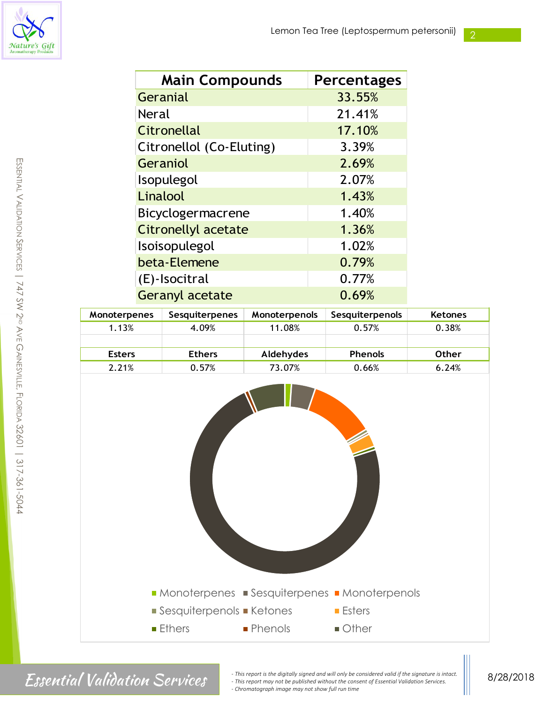

2

| <b>Main Compounds</b>    | <b>Percentages</b> |
|--------------------------|--------------------|
| Geranial                 | 33.55%             |
| <b>Neral</b>             | 21.41%             |
| Citronellal              | 17.10%             |
| Citronellol (Co-Eluting) | 3.39%              |
| Geraniol                 | 2.69%              |
| Isopulegol               | 2.07%              |
| Linalool                 | 1.43%              |
| Bicyclogermacrene        | 1.40%              |
| Citronellyl acetate      | 1.36%              |
| Isoisopulegol            | 1.02%              |
| beta-Elemene             | 0.79%              |
| (E)-Isocitral            | 0.77%              |
| <b>Geranyl acetate</b>   | 0.69%              |

| <b>Monoterpenes</b> | <b>Sesquiterpenes</b> | <b>Monoterpenols</b> | Sesquiterpenols | <b>Ketones</b> |
|---------------------|-----------------------|----------------------|-----------------|----------------|
| 1.13%               | 4.09%                 | 11.08%               | 0.57%           | 0.38%          |
|                     |                       |                      |                 |                |
| <b>Esters</b>       | <b>Ethers</b>         | Aldehydes            | <b>Phenols</b>  | Other          |
| 2.21%               | 0.57%                 | 73.07%               | 0.66%           | 6.24%          |



Finis report is the digitally signed and will only be considered valid if the signature is intact.<br>
This report may not be published without the consent of Essential Validation Services. *- This report may not be published without the consent of Essential Validation Services. - Chromatograph image may not show full run time*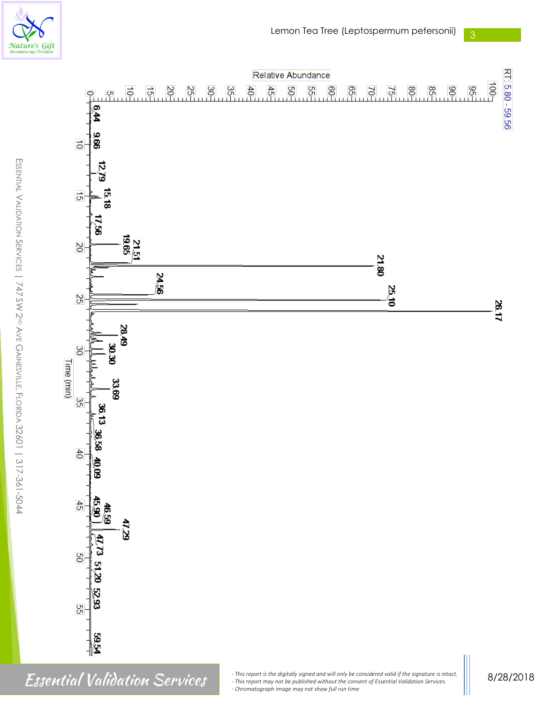

 $\mathfrak{b}_4$ 

996  $\vec{o}$ 

**1279** 

ಕ





*Finis report is the digitally signed and will only be considered valid if the signature is intact.*<br> *This report may not be published without the consent of Essential Validation Services.*<br>
Chromategraphing a may not be *- This report may not be published without the consent of Essential Validation Services. - Chromatograph image may not show full run time*

8/28/2018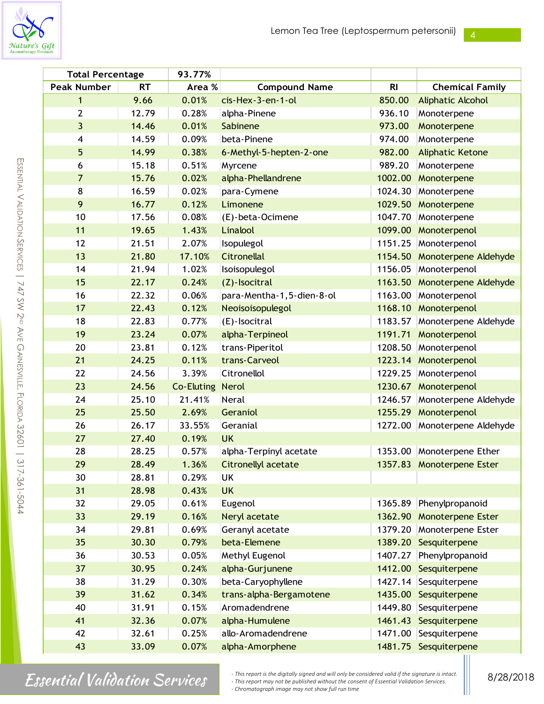

m

| <b>Total Percentage</b> |           | 93.77%     |                           |                |                           |
|-------------------------|-----------|------------|---------------------------|----------------|---------------------------|
| <b>Peak Number</b>      | <b>RT</b> | Area %     | <b>Compound Name</b>      | R <sub>l</sub> | <b>Chemical Family</b>    |
| 1                       | 9.66      | 0.01%      | cis-Hex-3-en-1-ol         | 850.00         | <b>Aliphatic Alcohol</b>  |
| $\overline{2}$          | 12.79     | 0.28%      | alpha-Pinene              | 936.10         | Monoterpene               |
| 3                       | 14.46     | 0.01%      | Sabinene                  | 973.00         | Monoterpene               |
| $\overline{\mathbf{4}}$ | 14.59     | 0.09%      | beta-Pinene               | 974.00         | Monoterpene               |
| 5                       | 14.99     | 0.38%      | 6-Methyl-5-hepten-2-one   | 982.00         | <b>Aliphatic Ketone</b>   |
| 6                       | 15.18     | 0.51%      | Myrcene                   | 989.20         | Monoterpene               |
| $\overline{7}$          | 15.76     | 0.02%      | alpha-Phellandrene        | 1002.00        | Monoterpene               |
| 8                       | 16.59     | 0.02%      | para-Cymene               | 1024.30        | Monoterpene               |
| 9                       | 16.77     | 0.12%      | Limonene                  | 1029.50        | Monoterpene               |
| 10                      | 17.56     | 0.08%      | (E)-beta-Ocimene          | 1047.70        | Monoterpene               |
| 11                      | 19.65     | 1.43%      | Linalool                  | 1099.00        | Monoterpenol              |
| 12                      | 21.51     | 2.07%      | Isopulegol                | 1151.25        | Monoterpenol              |
| 13                      | 21.80     | 17.10%     | Citronellal               | 1154.50        | Monoterpene Aldehyde      |
| 14                      | 21.94     | 1.02%      | Isoisopulegol             | 1156.05        | Monoterpenol              |
| 15                      | 22.17     | 0.24%      | (Z)-Isocitral             | 1163.50        | Monoterpene Aldehyde      |
| 16                      | 22.32     | 0.06%      | para-Mentha-1,5-dien-8-ol | 1163.00        | Monoterpenol              |
| 17                      | 22.43     | 0.12%      | Neoisoisopulegol          | 1168.10        | Monoterpenol              |
| 18                      | 22.83     | 0.77%      | (E)-Isocitral             | 1183.57        | Monoterpene Aldehyde      |
| 19                      | 23.24     | 0.07%      | alpha-Terpineol           | 1191.71        | Monoterpenol              |
| 20                      | 23.81     | 0.12%      | trans-Piperitol           | 1208.50        | Monoterpenol              |
| 21                      | 24.25     | 0.11%      | trans-Carveol             |                | 1223.14 Monoterpenol      |
| 22                      | 24.56     | 3.39%      | Citronellol               | 1229.25        | Monoterpenol              |
| 23                      | 24.56     | Co-Eluting | <b>Nerol</b>              |                | 1230.67 Monoterpenol      |
| 24                      | 25.10     | 21.41%     | Neral                     | 1246.57        | Monoterpene Aldehyde      |
| 25                      | 25.50     | 2.69%      | Geraniol                  |                | 1255.29 Monoterpenol      |
| 26                      | 26.17     | 33.55%     | Geranial                  | 1272.00        | Monoterpene Aldehyde      |
| 27                      | 27.40     | 0.19%      | <b>UK</b>                 |                |                           |
| 28                      | 28.25     | 0.57%      | alpha-Terpinyl acetate    | 1353.00        | Monoterpene Ether         |
| 29                      | 28.49     | 1.36%      | Citronellyl acetate       |                | 1357.83 Monoterpene Ester |
| 30                      | 28.81     | 0.29%      | UK                        |                |                           |
| 31                      | 28.98     | 0.43%      | <b>UK</b>                 |                |                           |
| 32                      | 29.05     | 0.61%      | Eugenol                   | 1365.89        | Phenylpropanoid           |
| 33                      | 29.19     | 0.16%      | Neryl acetate             | 1362.90        | <b>Monoterpene Ester</b>  |
| 34                      | 29.81     | 0.69%      | Geranyl acetate           | 1379.20        | Monoterpene Ester         |
| 35                      | 30.30     | 0.79%      | beta-Elemene              | 1389.20        | Sesquiterpene             |
| 36                      | 30.53     | 0.05%      | Methyl Eugenol            | 1407.27        | Phenylpropanoid           |
| 37                      | 30.95     | 0.24%      | alpha-Gurjunene           | 1412.00        | Sesquiterpene             |
| 38                      | 31.29     | 0.30%      | beta-Caryophyllene        | 1427.14        | Sesquiterpene             |
| 39                      | 31.62     | 0.34%      | trans-alpha-Bergamotene   | 1435.00        | Sesquiterpene             |
| 40                      | 31.91     | 0.15%      | Aromadendrene             | 1449.80        | Sesquiterpene             |
| 41                      | 32.36     | 0.07%      | alpha-Humulene            | 1461.43        | Sesquiterpene             |
| 42                      | 32.61     | 0.25%      | allo-Aromadendrene        | 1471.00        | Sesquiterpene             |
| 43                      | 33.09     | 0.07%      | alpha-Amorphene           |                | 1481.75 Sesquiterpene     |

 $\textit{Essential}$  Validation Services export is the digitally signed and will only be considered valid if the signature is intact. *- Chromatograph image may not show full run time*